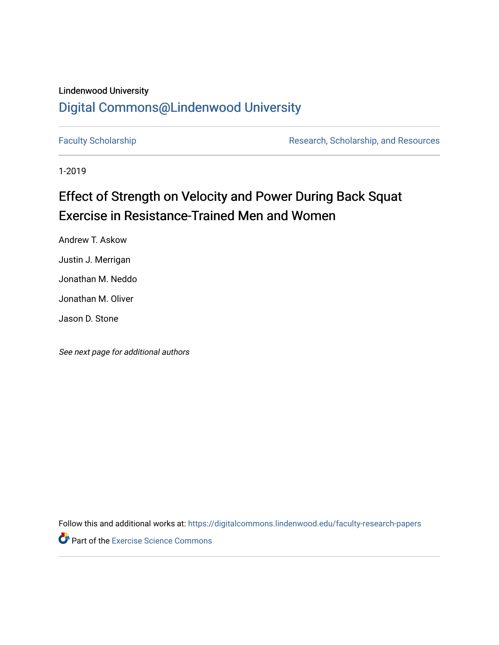### Lindenwood University

## [Digital Commons@Lindenwood University](https://digitalcommons.lindenwood.edu/)

[Faculty Scholarship](https://digitalcommons.lindenwood.edu/faculty-research-papers) **Research, Scholarship, and Resources** Research, Scholarship, and Resources

1-2019

## Effect of Strength on Velocity and Power During Back Squat Exercise in Resistance-Trained Men and Women

Andrew T. Askow Justin J. Merrigan Jonathan M. Neddo Jonathan M. Oliver

Jason D. Stone

See next page for additional authors

Follow this and additional works at: [https://digitalcommons.lindenwood.edu/faculty-research-papers](https://digitalcommons.lindenwood.edu/faculty-research-papers?utm_source=digitalcommons.lindenwood.edu%2Ffaculty-research-papers%2F68&utm_medium=PDF&utm_campaign=PDFCoverPages)

**Part of the [Exercise Science Commons](http://network.bepress.com/hgg/discipline/1091?utm_source=digitalcommons.lindenwood.edu%2Ffaculty-research-papers%2F68&utm_medium=PDF&utm_campaign=PDFCoverPages)**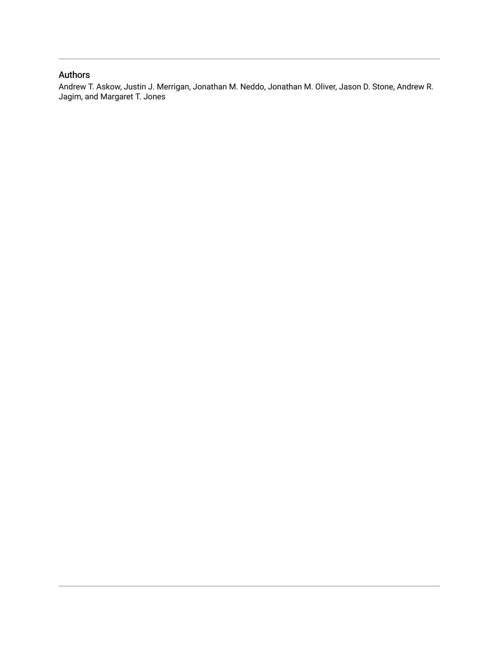### Authors

Andrew T. Askow, Justin J. Merrigan, Jonathan M. Neddo, Jonathan M. Oliver, Jason D. Stone, Andrew R. Jagim, and Margaret T. Jones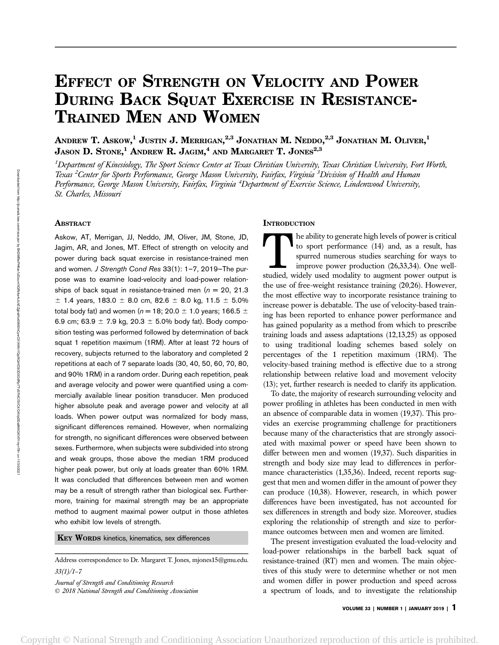# EFFECT OF STRENGTH ON VELOCITY AND POWER DURING BACK SQUAT EXERCISE IN RESISTANCE-TRAINED MEN AND WOMEN

Andrew T. Askow, $^1$  Justin J. Merrigan, $^{2,3}$  Jonathan M. Neddo, $^{2,3}$  Jonathan M. Oliver, $^1$ JASON  $\, {\bf D.}~ {\rm STONE}, ^1$  Andrew  $\, {\bf R.}~ {\rm JAGIM}, ^4$  and Margaret T. Jones $^{2,3}$ 

<sup>1</sup>Department of Kinesiology, The Sport Science Center at Texas Christian University, Texas Christian University, Fort Worth, Texas <sup>2</sup>Center for Sports Performance, George Mason University, Fairfax, Virginia <sup>3</sup>Division of Health and Human Performance, George Mason University, Fairfax, Virginia <sup>4</sup>Department of Exercise Science, Lindenwood University, St. Charles, Missouri

#### ABSTRACT

Askow, AT, Merrigan, JJ, Neddo, JM, Oliver, JM, Stone, JD, Jagim, AR, and Jones, MT. Effect of strength on velocity and power during back squat exercise in resistance-trained men and women. J Strength Cond Res 33(1): 1-7, 2019-The purpose was to examine load-velocity and load-power relationships of back squat in resistance-trained men ( $n = 20$ , 21.3)  $±$  1.4 years, 183.0  $±$  8.0 cm, 82.6  $±$  8.0 kg, 11.5  $±$  5.0% total body fat) and women ( $n = 18$ ; 20.0  $\pm$  1.0 years; 166.5  $\pm$ 6.9 cm; 63.9  $\pm$  7.9 kg, 20.3  $\pm$  5.0% body fat). Body composition testing was performed followed by determination of back squat 1 repetition maximum (1RM). After at least 72 hours of recovery, subjects returned to the laboratory and completed 2 repetitions at each of 7 separate loads (30, 40, 50, 60, 70, 80, and 90% 1RM) in a random order. During each repetition, peak and average velocity and power were quantified using a commercially available linear position transducer. Men produced higher absolute peak and average power and velocity at all loads. When power output was normalized for body mass, significant differences remained. However, when normalizing for strength, no significant differences were observed between sexes. Furthermore, when subjects were subdivided into strong and weak groups, those above the median 1RM produced higher peak power, but only at loads greater than 60% 1RM. It was concluded that differences between men and women may be a result of strength rather than biological sex. Furthermore, training for maximal strength may be an appropriate method to augment maximal power output in those athletes who exhibit low levels of strength.

#### KEY WORDS kinetics, kinematics, sex differences

Address correspondence to Dr. Margaret T. Jones, mjones15@gmu.edu.  $33(1)/1 - 7$ 

Journal of Strength and Conditioning Research 2018 National Strength and Conditioning Association

#### **INTRODUCTION**

The ability to generate high levels of power is critical<br>to sport performance (14) and, as a result, has<br>spurred numerous studies searching for ways to<br>improve power production (26,33,34). One well-<br>studied, widely used mo to sport performance (14) and, as a result, has spurred numerous studies searching for ways to improve power production (26,33,34). One wellstudied, widely used modality to augment power output is the use of free-weight resistance training (20,26). However, the most effective way to incorporate resistance training to increase power is debatable. The use of velocity-based training has been reported to enhance power performance and has gained popularity as a method from which to prescribe training loads and assess adaptations (12,13,25) as opposed to using traditional loading schemes based solely on percentages of the 1 repetition maximum (1RM). The velocity-based training method is effective due to a strong relationship between relative load and movement velocity (13); yet, further research is needed to clarify its application.

To date, the majority of research surrounding velocity and power profiling in athletes has been conducted in men with an absence of comparable data in women (19,37). This provides an exercise programming challenge for practitioners because many of the characteristics that are strongly associated with maximal power or speed have been shown to differ between men and women (19,37). Such disparities in strength and body size may lead to differences in performance characteristics  $(1,35,36)$ . Indeed, recent reports suggest that men and women differ in the amount of power they can produce (10,38). However, research, in which power differences have been investigated, has not accounted for sex differences in strength and body size. Moreover, studies exploring the relationship of strength and size to performance outcomes between men and women are limited.

The present investigation evaluated the load-velocity and load-power relationships in the barbell back squat of resistance-trained (RT) men and women. The main objectives of this study were to determine whether or not men and women differ in power production and speed across a spectrum of loads, and to investigate the relationship

VOLUME 33 | NUMBER 1 | JANUARY 2019 |  $1$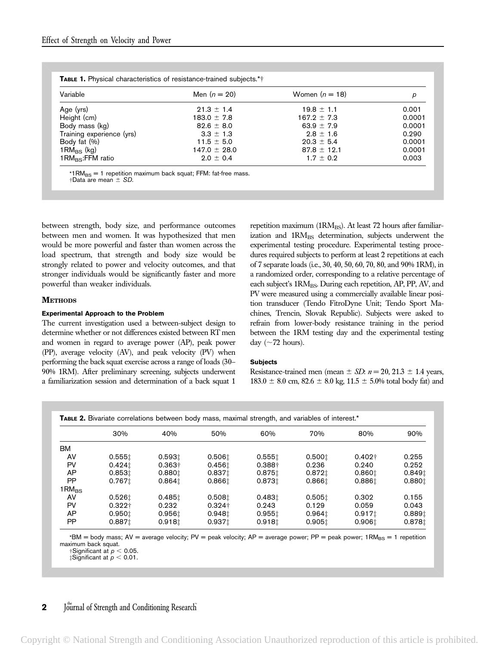| Variable                       | Men $(n = 20)$   | Women $(n = 18)$ | р      |
|--------------------------------|------------------|------------------|--------|
| Age (yrs)                      | $21.3 \pm 1.4$   | $19.8 \pm 1.1$   | 0.001  |
| Height (cm)                    | $183.0 \pm 7.8$  | $167.2 \pm 7.3$  | 0.0001 |
| Body mass (kg)                 | $82.6 \pm 8.0$   | $63.9 + 7.9$     | 0.0001 |
| Training experience (yrs)      | $3.3 \pm 1.3$    | $2.8 \pm 1.6$    | 0.290  |
| Body fat (%)                   | $11.5 \pm 5.0$   | $20.3 \pm 5.4$   | 0.0001 |
| $1 \text{RM}_{\text{BS}}$ (kg) | $147.0 \pm 28.0$ | $87.8 \pm 12.1$  | 0.0001 |
| $1 \text{RM}_{BS}$ :FFM ratio  | $2.0 \pm 0.4$    | $1.7 \pm 0.2$    | 0.003  |

 $\dagger$ Data are mean  $\pm$  SD.

between strength, body size, and performance outcomes between men and women. It was hypothesized that men would be more powerful and faster than women across the load spectrum, that strength and body size would be strongly related to power and velocity outcomes, and that stronger individuals would be significantly faster and more powerful than weaker individuals.

#### **METHODS**

#### Experimental Approach to the Problem

The current investigation used a between-subject design to determine whether or not differences existed between RT men and women in regard to average power (AP), peak power (PP), average velocity (AV), and peak velocity (PV) when performing the back squat exercise across a range of loads (30– 90% 1RM). After preliminary screening, subjects underwent a familiarization session and determination of a back squat 1 repetition maximum (1RMBS). At least 72 hours after familiarization and 1RM<sub>BS</sub> determination, subjects underwent the experimental testing procedure. Experimental testing procedures required subjects to perform at least 2 repetitions at each of 7 separate loads (i.e., 30, 40, 50, 60, 70, 80, and 90% 1RM), in a randomized order, corresponding to a relative percentage of each subject's 1RM<sub>BS</sub>. During each repetition, AP, PP, AV, and PV were measured using a commercially available linear position transducer (Tendo FitroDyne Unit; Tendo Sport Machines, Trencin, Slovak Republic). Subjects were asked to refrain from lower-body resistance training in the period between the 1RM testing day and the experimental testing day ( $\sim$ 72 hours).

#### **Subjects**

Resistance-trained men (mean  $\pm$  SD:  $n = 20$ , 21.3  $\pm$  1.4 years,  $183.0 \pm 8.0$  cm,  $82.6 \pm 8.0$  kg,  $11.5 \pm 5.0$ % total body fat) and

|  | TABLE 2. Bivariate correlations between body mass, maximal strength, and variables of interest.* |
|--|--------------------------------------------------------------------------------------------------|
|--|--------------------------------------------------------------------------------------------------|

|                | 30%                | 40%                | 50%                | 60%                | 70%                | 80%                | 90%    |
|----------------|--------------------|--------------------|--------------------|--------------------|--------------------|--------------------|--------|
| BM             |                    |                    |                    |                    |                    |                    |        |
| AV             | 0.5551             | 0.5931             | 0.506              | 0.5551             | 0.5001             | $0.402\dagger$     | 0.255  |
| PV             | 0.424 <sub>1</sub> | $0.363 +$          | 0.4561             | $0.388 +$          | 0.236              | 0.240              | 0.252  |
| AP             | 0.8531             | 0.8801             | 0.8371             | 0.8751             | 0.8721             | 0.8601             | 0.849t |
| PP             | 0.7671             | 0.864 <sub>1</sub> | 0.8661             | 0.8731             | 0.8661             | 0.8861             | 0.8801 |
| $1$ RM $_{BS}$ |                    |                    |                    |                    |                    |                    |        |
| AV             | 0.5261             | 0.485 <sub>1</sub> | 0.5081             | 0.4831             | 0.5051             | 0.302              | 0.155  |
| PV             | $0.322 +$          | 0.232              | $0.324\dagger$     | 0.243              | 0.129              | 0.059              | 0.043  |
| AP             | 0.9501             | 0.956 <sub>1</sub> | 0.948              | 0.9551             | 0.964 <sub>1</sub> | 0.917 <sub>1</sub> | 0.8891 |
| PP             | 0.8871             | 0.918 <sub>1</sub> | 0.937 <sub>1</sub> | 0.918 <sub>1</sub> | 0.9051             | 0.9061             | 0.8781 |

 $*$ BM = body mass; AV = average velocity; PV = peak velocity; AP = average power; PP = peak power; 1RM<sub>BS</sub> = 1 repetition maximum back squat.

 $\dagger$ Significant at  $p < 0.05$ .<br> $\ddagger$ Significant at  $p < 0.01$ .

**2** Journal of Strength and Conditioning Research

Copyright © National Strength and Conditioning Association Unauthorized reproduction of this article is prohibited.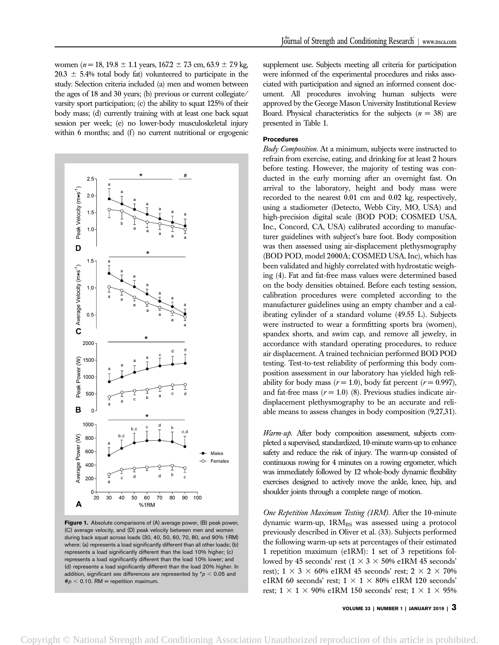women ( $n = 18$ , 19.8  $\pm$  1.1 years, 167.2  $\pm$  7.3 cm, 63.9  $\pm$  7.9 kg,  $20.3 \pm 5.4\%$  total body fat) volunteered to participate in the study. Selection criteria included (a) men and women between the ages of 18 and 30 years; (b) previous or current collegiate/ varsity sport participation; (c) the ability to squat 125% of their body mass; (d) currently training with at least one back squat session per week; (e) no lower-body musculoskeletal injury within 6 months; and  $(f)$  no current nutritional or ergogenic



Figure 1. Absolute comparisons of (A) average power, (B) peak power, (C) average velocity, and (D) peak velocity between men and women during back squat across loads (30, 40, 50, 60, 70, 80, and 90% 1RM) where: (a) represents a load significantly different than all other loads; (b) represents a load significantly different than the load 10% higher; (c) represents a load significantly different than the load 10% lower; and (d) represents a load significantly different than the load 20% higher. In addition, significant sex differences are represented by  $p < 0.05$  and  $\# p < 0.10$ . RM = repetition maximum.

supplement use. Subjects meeting all criteria for participation were informed of the experimental procedures and risks associated with participation and signed an informed consent document. All procedures involving human subjects were approved by the George Mason University Institutional Review Board. Physical characteristics for the subjects  $(n = 38)$  are presented in Table 1.

#### Procedures

Body Composition. At a minimum, subjects were instructed to refrain from exercise, eating, and drinking for at least 2 hours before testing. However, the majority of testing was conducted in the early morning after an overnight fast. On arrival to the laboratory, height and body mass were recorded to the nearest 0.01 cm and 0.02 kg, respectively, using a stadiometer (Detecto, Webb City, MO, USA) and high-precision digital scale (BOD POD; COSMED USA, Inc., Concord, CA, USA) calibrated according to manufacturer guidelines with subject's bare foot. Body composition was then assessed using air-displacement plethysmography (BOD POD, model 2000A; COSMED USA, Inc), which has been validated and highly correlated with hydrostatic weighing (4). Fat and fat-free mass values were determined based on the body densities obtained. Before each testing session, calibration procedures were completed according to the manufacturer guidelines using an empty chamber and a calibrating cylinder of a standard volume (49.55 L). Subjects were instructed to wear a formfitting sports bra (women), spandex shorts, and swim cap, and remove all jewelry, in accordance with standard operating procedures, to reduce air displacement. A trained technician performed BOD POD testing. Test-to-test reliability of performing this body composition assessment in our laboratory has yielded high reliability for body mass ( $r = 1.0$ ), body fat percent ( $r = 0.997$ ), and fat-free mass  $(r = 1.0)$  (8). Previous studies indicate airdisplacement plethysmography to be an accurate and reliable means to assess changes in body composition (9,27,31).

Warm-up. After body composition assessment, subjects completed a supervised, standardized, 10-minute warm-up to enhance safety and reduce the risk of injury. The warm-up consisted of continuous rowing for 4 minutes on a rowing ergometer, which was immediately followed by 12 whole-body dynamic flexibility exercises designed to actively move the ankle, knee, hip, and shoulder joints through a complete range of motion.

One Repetition Maximum Testing (1RM). After the 10-minute dynamic warm-up, 1RM<sub>BS</sub> was assessed using a protocol previously described in Oliver et al. (33). Subjects performed the following warm-up sets at percentages of their estimated 1 repetition maximum (e1RM): 1 set of 3 repetitions followed by 45 seconds' rest ( $1 \times 3 \times 50\%$  e1RM 45 seconds' rest);  $1 \times 3 \times 60\%$  e1RM 45 seconds' rest;  $2 \times 2 \times 70\%$ e1RM 60 seconds' rest;  $1 \times 1 \times 80\%$  e1RM 120 seconds' rest;  $1 \times 1 \times 90\%$  e1RM 150 seconds' rest;  $1 \times 1 \times 95\%$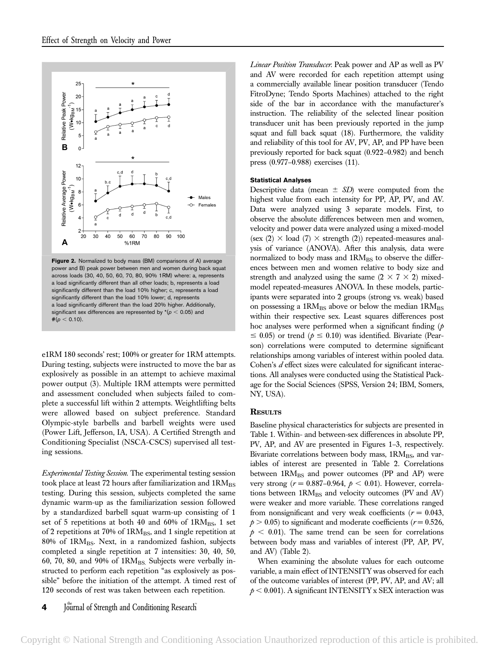

Figure 2. Normalized to body mass (BM) comparisons of A) average power and B) peak power between men and women during back squat across loads (30, 40, 50, 60, 70, 80, 90% 1RM) where: a, represents a load significantly different than all other loads; b, represents a load significantly different than the load 10% higher; c, represents a load significantly different than the load 10% lower; d, represents a load significantly different than the load 20% higher. Additionally, significant sex differences are represented by  $*(p < 0.05)$  and  $#(*p* < 0.10).$ 

e1RM 180 seconds' rest; 100% or greater for 1RM attempts. During testing, subjects were instructed to move the bar as explosively as possible in an attempt to achieve maximal power output (3). Multiple 1RM attempts were permitted and assessment concluded when subjects failed to complete a successful lift within 2 attempts. Weightlifting belts were allowed based on subject preference. Standard Olympic-style barbells and barbell weights were used (Power Lift, Jefferson, IA, USA). A Certified Strength and Conditioning Specialist (NSCA-CSCS) supervised all testing sessions.

Experimental Testing Session. The experimental testing session took place at least 72 hours after familiarization and  $1\text{RM}_{\text{BS}}$ testing. During this session, subjects completed the same dynamic warm-up as the familiarization session followed by a standardized barbell squat warm-up consisting of 1 set of 5 repetitions at both 40 and 60% of  $1\text{RM}_{BS}$ , 1 set of 2 repetitions at 70% of 1RM<sub>BS</sub>, and 1 single repetition at 80% of 1RMBS. Next, in a randomized fashion, subjects completed a single repetition at 7 intensities: 30, 40, 50, 60, 70, 80, and 90% of  $1RM_{BS}$ . Subjects were verbally instructed to perform each repetition "as explosively as possible" before the initiation of the attempt. A timed rest of 120 seconds of rest was taken between each repetition.

4 Journal of Strength and Conditioning Research

Linear Position Transducer. Peak power and AP as well as PV and AV were recorded for each repetition attempt using a commercially available linear position transducer (Tendo FitroDyne; Tendo Sports Machines) attached to the right side of the bar in accordance with the manufacturer's instruction. The reliability of the selected linear position transducer unit has been previously reported in the jump squat and full back squat (18). Furthermore, the validity and reliability of this tool for AV, PV, AP, and PP have been previously reported for back squat (0.922–0.982) and bench press (0.977–0.988) exercises (11).

#### Statistical Analyses

Descriptive data (mean  $\pm$  SD) were computed from the highest value from each intensity for PP, AP, PV, and AV. Data were analyzed using 3 separate models. First, to observe the absolute differences between men and women, velocity and power data were analyzed using a mixed-model (sex  $(2) \times$  load  $(7) \times$  strength  $(2)$ ) repeated-measures analysis of variance (ANOVA). After this analysis, data were normalized to body mass and 1RMBS to observe the differences between men and women relative to body size and strength and analyzed using the same  $(2 \times 7 \times 2)$  mixedmodel repeated-measures ANOVA. In these models, participants were separated into 2 groups (strong vs. weak) based on possessing a  $1RM_{BS}$  above or below the median  $1RM_{BS}$ within their respective sex. Least squares differences post hoc analyses were performed when a significant finding  $(p)$  $\leq$  0.05) or trend ( $\phi \leq$  0.10) was identified. Bivariate (Pearson) correlations were computed to determine significant relationships among variables of interest within pooled data. Cohen's d effect sizes were calculated for significant interactions. All analyses were conducted using the Statistical Package for the Social Sciences (SPSS, Version 24; IBM, Somers, NY, USA).

#### **RESULTS**

Baseline physical characteristics for subjects are presented in Table 1. Within- and between-sex differences in absolute PP, PV, AP, and AV are presented in Figures 1–3, respectively. Bivariate correlations between body mass,  $1RM<sub>BS</sub>$ , and variables of interest are presented in Table 2. Correlations between  $1RM_{BS}$  and power outcomes (PP and AP) were very strong ( $r = 0.887{\text -}0.964$ ,  $p < 0.01$ ). However, correlations between  $1RM_{BS}$  and velocity outcomes (PV and AV) were weaker and more variable. These correlations ranged from nonsignificant and very weak coefficients ( $r = 0.043$ ,  $p > 0.05$ ) to significant and moderate coefficients ( $r = 0.526$ ,  $p < 0.01$ ). The same trend can be seen for correlations between body mass and variables of interest (PP, AP, PV, and AV) (Table 2).

When examining the absolute values for each outcome variable, a main effect of INTENSITY was observed for each of the outcome variables of interest (PP, PV, AP, and AV; all  $p < 0.001$ ). A significant INTENSITY x SEX interaction was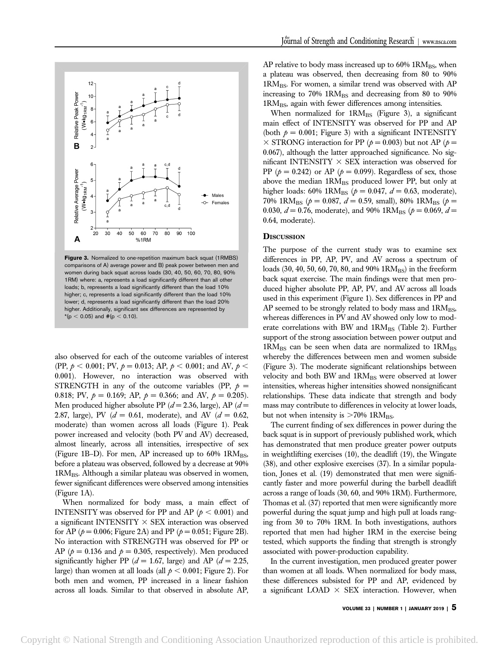

Figure 3. Normalized to one-repetition maximum back squat (1RMBS) comparisons of A) average power and B) peak power between men and women during back squat across loads (30, 40, 50, 60, 70, 80, 90% 1RM) where: a, represents a load significantly different than all other loads; b, represents a load significantly different than the load 10% higher; c, represents a load significantly different than the load 10% lower; d, represents a load significantly different than the load 20% higher. Additionally, significant sex differences are represented by  $*(p < 0.05)$  and  $\#(p < 0.10)$ .

also observed for each of the outcome variables of interest (PP,  $p < 0.001$ ; PV,  $p = 0.013$ ; AP,  $p < 0.001$ ; and AV,  $p <$ 0.001). However, no interaction was observed with STRENGTH in any of the outcome variables (PP,  $p =$ 0.818; PV,  $p = 0.169$ ; AP,  $p = 0.366$ ; and AV,  $p = 0.205$ ). Men produced higher absolute PP  $(d=2.36, \text{large})$ , AP  $(d=$ 2.87, large), PV ( $d = 0.61$ , moderate), and AV ( $d = 0.62$ , moderate) than women across all loads (Figure 1). Peak power increased and velocity (both PV and AV) decreased, almost linearly, across all intensities, irrespective of sex (Figure 1B–D). For men, AP increased up to  $60\%$  1RM<sub>BS</sub>, before a plateau was observed, followed by a decrease at 90% 1RM<sub>BS</sub>. Although a similar plateau was observed in women, fewer significant differences were observed among intensities (Figure 1A).

When normalized for body mass, a main effect of INTENSITY was observed for PP and AP ( $p < 0.001$ ) and a significant INTENSITY  $\times$  SEX interaction was observed for AP ( $p = 0.006$ ; Figure 2A) and PP ( $p = 0.051$ ; Figure 2B). No interaction with STRENGTH was observed for PP or AP ( $p = 0.136$  and  $p = 0.305$ , respectively). Men produced significantly higher PP ( $d = 1.67$ , large) and AP ( $d = 2.25$ , large) than women at all loads (all  $p < 0.001$ ; Figure 2). For both men and women, PP increased in a linear fashion across all loads. Similar to that observed in absolute AP,

AP relative to body mass increased up to  $60\%$  1RM<sub>BS</sub>, when a plateau was observed, then decreasing from 80 to 90% 1RMBS. For women, a similar trend was observed with AP increasing to  $70\%$  1RM<sub>BS</sub> and decreasing from 80 to 90% 1RM<sub>BS</sub>, again with fewer differences among intensities.

When normalized for  $1RM_{BS}$  (Figure 3), a significant main effect of INTENSITY was observed for PP and AP (both  $p = 0.001$ ; Figure 3) with a significant INTENSITY  $\times$  STRONG interaction for PP ( $p = 0.003$ ) but not AP ( $p =$ 0.067), although the latter approached significance. No significant INTENSITY  $\times$  SEX interaction was observed for PP ( $p = 0.242$ ) or AP ( $p = 0.099$ ). Regardless of sex, those above the median  $1RM_{BS}$  produced lower PP, but only at higher loads: 60% 1RM<sub>BS</sub> ( $p = 0.047$ ,  $d = 0.63$ , moderate), 70% 1RM<sub>BS</sub> ( $p = 0.087$ ,  $d = 0.59$ , small), 80% 1RM<sub>BS</sub> ( $p =$ 0.030,  $d = 0.76$ , moderate), and 90% 1RM<sub>BS</sub> ( $p = 0.069$ ,  $d =$ 0.64, moderate).

#### **DISCUSSION**

The purpose of the current study was to examine sex differences in PP, AP, PV, and AV across a spectrum of loads (30, 40, 50, 60, 70, 80, and 90%  $1RM_{BS}$ ) in the freeform back squat exercise. The main findings were that men produced higher absolute PP, AP, PV, and AV across all loads used in this experiment (Figure 1). Sex differences in PP and AP seemed to be strongly related to body mass and 1RMBS, whereas differences in PV and AV showed only low to moderate correlations with BW and 1RMBS (Table 2). Further support of the strong association between power output and  $1\text{RM}_{\text{BS}}$  can be seen when data are normalized to  $1\text{RM}_{\text{BS}}$ whereby the differences between men and women subside (Figure 3). The moderate significant relationships between velocity and both BW and 1RMBS were observed at lower intensities, whereas higher intensities showed nonsignificant relationships. These data indicate that strength and body mass may contribute to differences in velocity at lower loads, but not when intensity is  $>70\%$  1RM<sub>BS</sub>.

The current finding of sex differences in power during the back squat is in support of previously published work, which has demonstrated that men produce greater power outputs in weightlifting exercises (10), the deadlift (19), the Wingate (38), and other explosive exercises (37). In a similar population, Jones et al. (19) demonstrated that men were significantly faster and more powerful during the barbell deadlift across a range of loads (30, 60, and 90% 1RM). Furthermore, Thomas et al. (37) reported that men were significantly more powerful during the squat jump and high pull at loads ranging from 30 to 70% 1RM. In both investigations, authors reported that men had higher 1RM in the exercise being tested, which supports the finding that strength is strongly associated with power-production capability.

In the current investigation, men produced greater power than women at all loads. When normalized for body mass, these differences subsisted for PP and AP, evidenced by a significant LOAD  $\times$  SEX interaction. However, when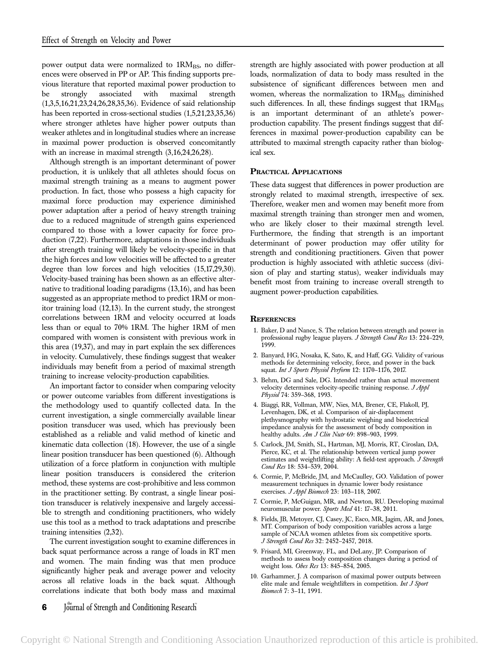power output data were normalized to 1RMBS, no differences were observed in PP or AP. This finding supports previous literature that reported maximal power production to be strongly associated with maximal strength (1,3,5,16,21,23,24,26,28,35,36). Evidence of said relationship has been reported in cross-sectional studies (1,5,21,23,35,36) where stronger athletes have higher power outputs than weaker athletes and in longitudinal studies where an increase in maximal power production is observed concomitantly with an increase in maximal strength (3,16,24,26,28).

Although strength is an important determinant of power production, it is unlikely that all athletes should focus on maximal strength training as a means to augment power production. In fact, those who possess a high capacity for maximal force production may experience diminished power adaptation after a period of heavy strength training due to a reduced magnitude of strength gains experienced compared to those with a lower capacity for force production (7,22). Furthermore, adaptations in those individuals after strength training will likely be velocity-specific in that the high forces and low velocities will be affected to a greater degree than low forces and high velocities (15,17,29,30). Velocity-based training has been shown as an effective alternative to traditional loading paradigms (13,16), and has been suggested as an appropriate method to predict 1RM or monitor training load (12,13). In the current study, the strongest correlations between 1RM and velocity occurred at loads less than or equal to 70% 1RM. The higher 1RM of men compared with women is consistent with previous work in this area (19,37), and may in part explain the sex differences in velocity. Cumulatively, these findings suggest that weaker individuals may benefit from a period of maximal strength training to increase velocity-production capabilities.

An important factor to consider when comparing velocity or power outcome variables from different investigations is the methodology used to quantify collected data. In the current investigation, a single commercially available linear position transducer was used, which has previously been established as a reliable and valid method of kinetic and kinematic data collection (18). However, the use of a single linear position transducer has been questioned (6). Although utilization of a force platform in conjunction with multiple linear position transducers is considered the criterion method, these systems are cost-prohibitive and less common in the practitioner setting. By contrast, a single linear position transducer is relatively inexpensive and largely accessible to strength and conditioning practitioners, who widely use this tool as a method to track adaptations and prescribe training intensities (2,32).

The current investigation sought to examine differences in back squat performance across a range of loads in RT men and women. The main finding was that men produce significantly higher peak and average power and velocity across all relative loads in the back squat. Although correlations indicate that both body mass and maximal strength are highly associated with power production at all loads, normalization of data to body mass resulted in the subsistence of significant differences between men and women, whereas the normalization to  $1\text{RM}_{\text{BS}}$  diminished such differences. In all, these findings suggest that  $1\text{RM}_{\text{BS}}$ is an important determinant of an athlete's powerproduction capability. The present findings suggest that differences in maximal power-production capability can be attributed to maximal strength capacity rather than biological sex.

#### PRACTICAL APPLICATIONS

These data suggest that differences in power production are strongly related to maximal strength, irrespective of sex. Therefore, weaker men and women may benefit more from maximal strength training than stronger men and women, who are likely closer to their maximal strength level. Furthermore, the finding that strength is an important determinant of power production may offer utility for strength and conditioning practitioners. Given that power production is highly associated with athletic success (division of play and starting status), weaker individuals may benefit most from training to increase overall strength to augment power-production capabilities.

#### **REFERENCES**

- 1. Baker, D and Nance, S. The relation between strength and power in professional rugby league players. J Strength Cond Res 13: 224-229, 1999.
- 2. Banyard, HG, Nosaka, K, Sato, K, and Haff, GG. Validity of various methods for determining velocity, force, and power in the back squat. Int J Sports Physiol Perform 12: 1170-1176, 2017.
- 3. Behm, DG and Sale, DG. Intended rather than actual movement velocity determines velocity-specific training response. J Appl Physiol 74: 359–368, 1993.
- 4. Biaggi, RR, Vollman, MW, Nies, MA, Brener, CE, Flakoll, PJ, Levenhagen, DK, et al. Comparison of air-displacement plethysmography with hydrostatic weighing and bioelectrical impedance analysis for the assessment of body composition in healthy adults. Am J Clin Nutr 69: 898-903, 1999.
- 5. Carlock, JM, Smith, SL, Hartman, MJ, Morris, RT, Ciroslan, DA, Pierce, KC, et al. The relationship between vertical jump power estimates and weightlifting ability: A field-test approach. J Strength Cond Res 18: 534-539, 2004.
- 6. Cormie, P, McBride, JM, and McCaulley, GO. Validation of power measurement techniques in dynamic lower body resistance exercises. J Appl Biomech 23: 103–118, 2007.
- 7. Cormie, P, McGuigan, MR, and Newton, RU. Developing maximal neuromuscular power. Sports Med 41: 17–38, 2011.
- 8. Fields, JB, Metoyer, CJ, Casey, JC, Esco, MR, Jagim, AR, and Jones, MT. Comparison of body composition variables across a large sample of NCAA women athletes from six competitive sports. J Strength Cond Res 32: 2452–2457, 2018.
- 9. Frisard, MI, Greenway, FL, and DeLany, JP. Comparison of methods to assess body composition changes during a period of weight loss. Obes Res 13: 845–854, 2005.
- 10. Garhammer, J. A comparison of maximal power outputs between elite male and female weightlifters in competition. Int J Sport Biomech 7: 3–11, 1991.

6 Journal of Strength and Conditioning Research